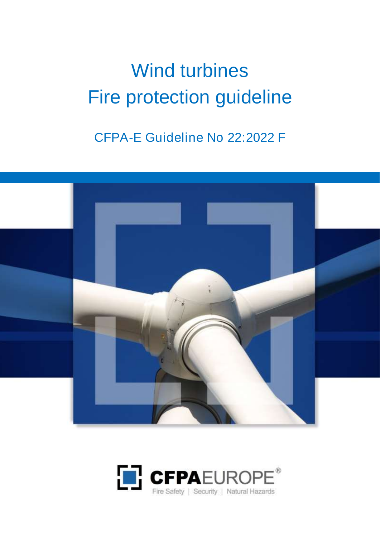# Wind turbines Fire protection guideline

CFPA-E Guideline No 22:2022 F



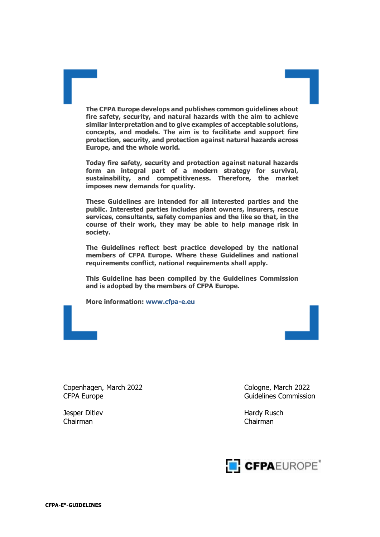**The CFPA Europe develops and publishes common guidelines about fire safety, security, and natural hazards with the aim to achieve similar interpretation and to give examples of acceptable solutions, concepts, and models. The aim is to facilitate and support fire protection, security, and protection against natural hazards across Europe, and the whole world.**

**Today fire safety, security and protection against natural hazards form an integral part of a modern strategy for survival, sustainability, and competitiveness. Therefore, the market imposes new demands for quality.**

**These Guidelines are intended for all interested parties and the public. Interested parties includes plant owners, insurers, rescue services, consultants, safety companies and the like so that, in the course of their work, they may be able to help manage risk in society.**

**The Guidelines reflect best practice developed by the national members of CFPA Europe. Where these Guidelines and national requirements conflict, national requirements shall apply.**

**This Guideline has been compiled by the Guidelines Commission and is adopted by the members of CFPA Europe.**

**More information: [www.cfpa-e.eu](http://www.cfpa-e.eu/)**

Copenhagen, March 2022 Cologne, March 2022 CFPA Europe **Guidelines** Commission

Chairman Chairman

Jesper Ditlev **Hardy Rusch** Hardy Rusch

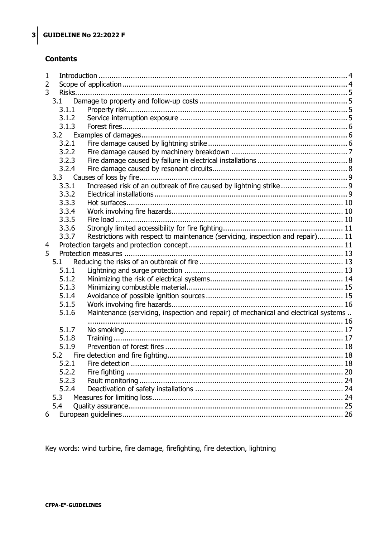## **Contents**

| $\mathbf{1}$ |       |                                                                                     |  |  |  |
|--------------|-------|-------------------------------------------------------------------------------------|--|--|--|
| 2            |       |                                                                                     |  |  |  |
| 3            |       |                                                                                     |  |  |  |
|              | 3.1   |                                                                                     |  |  |  |
|              | 3.1.1 |                                                                                     |  |  |  |
|              | 3.1.2 |                                                                                     |  |  |  |
|              | 3.1.3 |                                                                                     |  |  |  |
|              | 3.2   |                                                                                     |  |  |  |
|              | 3.2.1 |                                                                                     |  |  |  |
|              | 3.2.2 |                                                                                     |  |  |  |
|              | 3.2.3 |                                                                                     |  |  |  |
|              | 3.2.4 |                                                                                     |  |  |  |
|              | 3.3   |                                                                                     |  |  |  |
|              | 3.3.1 | Increased risk of an outbreak of fire caused by lightning strike 9                  |  |  |  |
|              | 3.3.2 |                                                                                     |  |  |  |
|              | 3.3.3 |                                                                                     |  |  |  |
|              | 3.3.4 |                                                                                     |  |  |  |
|              | 3.3.5 |                                                                                     |  |  |  |
|              | 3.3.6 |                                                                                     |  |  |  |
|              | 3.3.7 | Restrictions with respect to maintenance (servicing, inspection and repair) 11      |  |  |  |
| 4            |       |                                                                                     |  |  |  |
| 5            |       |                                                                                     |  |  |  |
|              | 5.1   |                                                                                     |  |  |  |
|              | 5.1.1 |                                                                                     |  |  |  |
|              | 5.1.2 |                                                                                     |  |  |  |
|              | 5.1.3 |                                                                                     |  |  |  |
|              | 5.1.4 |                                                                                     |  |  |  |
|              | 5.1.5 |                                                                                     |  |  |  |
|              | 5.1.6 | Maintenance (servicing, inspection and repair) of mechanical and electrical systems |  |  |  |
|              |       |                                                                                     |  |  |  |
|              | 5.1.7 |                                                                                     |  |  |  |
|              | 5.1.8 |                                                                                     |  |  |  |
|              | 5.1.9 |                                                                                     |  |  |  |
|              |       |                                                                                     |  |  |  |
|              | 5.2.1 |                                                                                     |  |  |  |
|              | 5.2.2 |                                                                                     |  |  |  |
|              | 5.2.3 |                                                                                     |  |  |  |
|              | 5.2.4 |                                                                                     |  |  |  |
|              | 5.3   |                                                                                     |  |  |  |
|              | 5.4   |                                                                                     |  |  |  |
| 6            |       |                                                                                     |  |  |  |

Key words: wind turbine, fire damage, firefighting, fire detection, lightning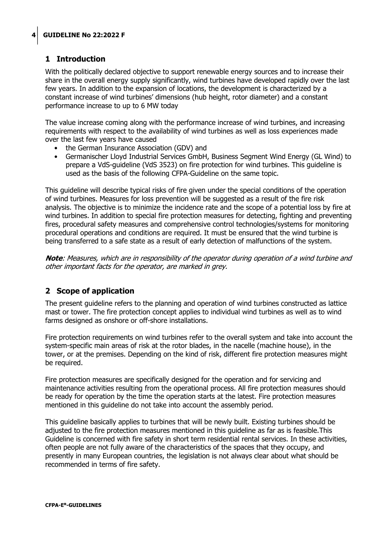## <span id="page-3-0"></span>**1 Introduction**

With the politically declared objective to support renewable energy sources and to increase their share in the overall energy supply significantly, wind turbines have developed rapidly over the last few years. In addition to the expansion of locations, the development is characterized by a constant increase of wind turbines' dimensions (hub height, rotor diameter) and a constant performance increase to up to 6 MW today

The value increase coming along with the performance increase of wind turbines, and increasing requirements with respect to the availability of wind turbines as well as loss experiences made over the last few years have caused

- the German Insurance Association (GDV) and
- Germanischer Lloyd Industrial Services GmbH, Business Segment Wind Energy (GL Wind) to prepare a VdS-guideline (VdS 3523) on fire protection for wind turbines. This guideline is used as the basis of the following CFPA-Guideline on the same topic.

This guideline will describe typical risks of fire given under the special conditions of the operation of wind turbines. Measures for loss prevention will be suggested as a result of the fire risk analysis. The objective is to minimize the incidence rate and the scope of a potential loss by fire at wind turbines. In addition to special fire protection measures for detecting, fighting and preventing fires, procedural safety measures and comprehensive control technologies/systems for monitoring procedural operations and conditions are required. It must be ensured that the wind turbine is being transferred to a safe state as a result of early detection of malfunctions of the system.

**Note**: Measures, which are in responsibility of the operator during operation of a wind turbine and other important facts for the operator, are marked in grey.

## <span id="page-3-1"></span>**2 Scope of application**

The present guideline refers to the planning and operation of wind turbines constructed as lattice mast or tower. The fire protection concept applies to individual wind turbines as well as to wind farms designed as onshore or off-shore installations.

Fire protection requirements on wind turbines refer to the overall system and take into account the system-specific main areas of risk at the rotor blades, in the nacelle (machine house), in the tower, or at the premises. Depending on the kind of risk, different fire protection measures might be required.

Fire protection measures are specifically designed for the operation and for servicing and maintenance activities resulting from the operational process. All fire protection measures should be ready for operation by the time the operation starts at the latest. Fire protection measures mentioned in this guideline do not take into account the assembly period.

This guideline basically applies to turbines that will be newly built. Existing turbines should be adjusted to the fire protection measures mentioned in this guideline as far as is feasible.This Guideline is concerned with fire safety in short term residential rental services. In these activities, often people are not fully aware of the characteristics of the spaces that they occupy, and presently in many European countries, the legislation is not always clear about what should be recommended in terms of fire safety.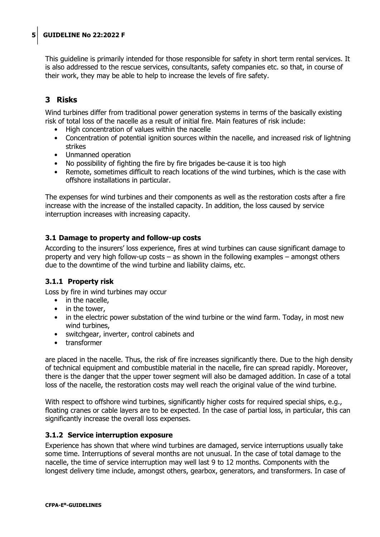This guideline is primarily intended for those responsible for safety in short term rental services. It is also addressed to the rescue services, consultants, safety companies etc. so that, in course of their work, they may be able to help to increase the levels of fire safety.

## <span id="page-4-0"></span>**3 Risks**

Wind turbines differ from traditional power generation systems in terms of the basically existing risk of total loss of the nacelle as a result of initial fire. Main features of risk include:

- High concentration of values within the nacelle
- Concentration of potential ignition sources within the nacelle, and increased risk of lightning strikes
- Unmanned operation
- No possibility of fighting the fire by fire brigades be-cause it is too high
- Remote, sometimes difficult to reach locations of the wind turbines, which is the case with offshore installations in particular.

The expenses for wind turbines and their components as well as the restoration costs after a fire increase with the increase of the installed capacity. In addition, the loss caused by service interruption increases with increasing capacity.

## <span id="page-4-1"></span>**3.1 Damage to property and follow-up costs**

According to the insurers' loss experience, fires at wind turbines can cause significant damage to property and very high follow-up costs – as shown in the following examples – amongst others due to the downtime of the wind turbine and liability claims, etc.

#### <span id="page-4-2"></span>**3.1.1 Property risk**

Loss by fire in wind turbines may occur

- in the nacelle,
- in the tower,
- in the electric power substation of the wind turbine or the wind farm. Today, in most new wind turbines,
- switchgear, inverter, control cabinets and
- transformer

are placed in the nacelle. Thus, the risk of fire increases significantly there. Due to the high density of technical equipment and combustible material in the nacelle, fire can spread rapidly. Moreover, there is the danger that the upper tower segment will also be damaged addition. In case of a total loss of the nacelle, the restoration costs may well reach the original value of the wind turbine.

With respect to offshore wind turbines, significantly higher costs for required special ships, e.g., floating cranes or cable layers are to be expected. In the case of partial loss, in particular, this can significantly increase the overall loss expenses.

## <span id="page-4-3"></span>**3.1.2 Service interruption exposure**

Experience has shown that where wind turbines are damaged, service interruptions usually take some time. Interruptions of several months are not unusual. In the case of total damage to the nacelle, the time of service interruption may well last 9 to 12 months. Components with the longest delivery time include, amongst others, gearbox, generators, and transformers. In case of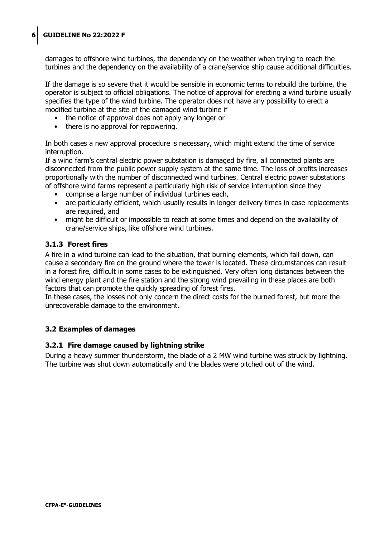damages to offshore wind turbines, the dependency on the weather when trying to reach the turbines and the dependency on the availability of a crane/service ship cause additional difficulties.

If the damage is so severe that it would be sensible in economic terms to rebuild the turbine, the operator is subject to official obligations. The notice of approval for erecting a wind turbine usually specifies the type of the wind turbine. The operator does not have any possibility to erect a modified turbine at the site of the damaged wind turbine if

- the notice of approval does not apply any longer or
- there is no approval for repowering.

In both cases a new approval procedure is necessary, which might extend the time of service interruption.

If a wind farm's central electric power substation is damaged by fire, all connected plants are disconnected from the public power supply system at the same time. The loss of profits increases proportionally with the number of disconnected wind turbines. Central electric power substations of offshore wind farms represent a particularly high risk of service interruption since they

- comprise a large number of individual turbines each,
- are particularly efficient, which usually results in longer delivery times in case replacements are required, and
- might be difficult or impossible to reach at some times and depend on the availability of crane/service ships, like offshore wind turbines.

#### <span id="page-5-0"></span>**3.1.3 Forest fires**

A fire in a wind turbine can lead to the situation, that burning elements, which fall down, can cause a secondary fire on the ground where the tower is located. These circumstances can result in a forest fire, difficult in some cases to be extinguished. Very often long distances between the wind energy plant and the fire station and the strong wind prevailing in these places are both factors that can promote the quickly spreading of forest fires.

In these cases, the losses not only concern the direct costs for the burned forest, but more the unrecoverable damage to the environment.

## <span id="page-5-1"></span>**3.2 Examples of damages**

#### <span id="page-5-2"></span>**3.2.1 Fire damage caused by lightning strike**

During a heavy summer thunderstorm, the blade of a 2 MW wind turbine was struck by lightning. The turbine was shut down automatically and the blades were pitched out of the wind.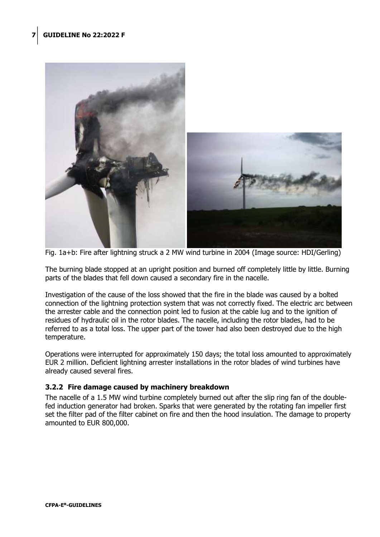

Fig. 1a+b: Fire after lightning struck a 2 MW wind turbine in 2004 (Image source: HDI/Gerling)

The burning blade stopped at an upright position and burned off completely little by little. Burning parts of the blades that fell down caused a secondary fire in the nacelle.

Investigation of the cause of the loss showed that the fire in the blade was caused by a bolted connection of the lightning protection system that was not correctly fixed. The electric arc between the arrester cable and the connection point led to fusion at the cable lug and to the ignition of residues of hydraulic oil in the rotor blades. The nacelle, including the rotor blades, had to be referred to as a total loss. The upper part of the tower had also been destroyed due to the high temperature.

Operations were interrupted for approximately 150 days; the total loss amounted to approximately EUR 2 million. Deficient lightning arrester installations in the rotor blades of wind turbines have already caused several fires.

#### <span id="page-6-0"></span>**3.2.2 Fire damage caused by machinery breakdown**

The nacelle of a 1.5 MW wind turbine completely burned out after the slip ring fan of the doublefed induction generator had broken. Sparks that were generated by the rotating fan impeller first set the filter pad of the filter cabinet on fire and then the hood insulation. The damage to property amounted to EUR 800,000.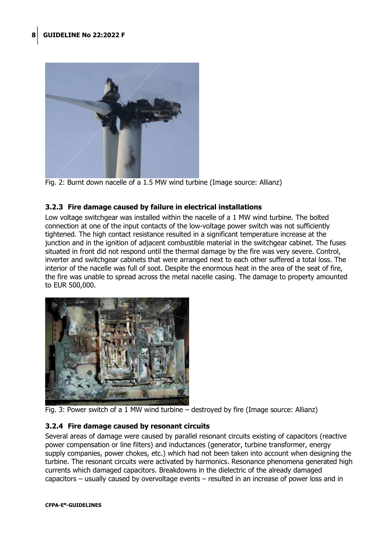

Fig. 2: Burnt down nacelle of a 1.5 MW wind turbine (Image source: Allianz)

## <span id="page-7-0"></span>**3.2.3 Fire damage caused by failure in electrical installations**

Low voltage switchgear was installed within the nacelle of a 1 MW wind turbine. The bolted connection at one of the input contacts of the low-voltage power switch was not sufficiently tightened. The high contact resistance resulted in a significant temperature increase at the junction and in the ignition of adjacent combustible material in the switchgear cabinet. The fuses situated in front did not respond until the thermal damage by the fire was very severe. Control, inverter and switchgear cabinets that were arranged next to each other suffered a total loss. The interior of the nacelle was full of soot. Despite the enormous heat in the area of the seat of fire, the fire was unable to spread across the metal nacelle casing. The damage to property amounted to EUR 500,000.



<span id="page-7-1"></span>

## **3.2.4 Fire damage caused by resonant circuits**

Several areas of damage were caused by parallel resonant circuits existing of capacitors (reactive power compensation or line filters) and inductances (generator, turbine transformer, energy supply companies, power chokes, etc.) which had not been taken into account when designing the turbine. The resonant circuits were activated by harmonics. Resonance phenomena generated high currents which damaged capacitors. Breakdowns in the dielectric of the already damaged capacitors – usually caused by overvoltage events – resulted in an increase of power loss and in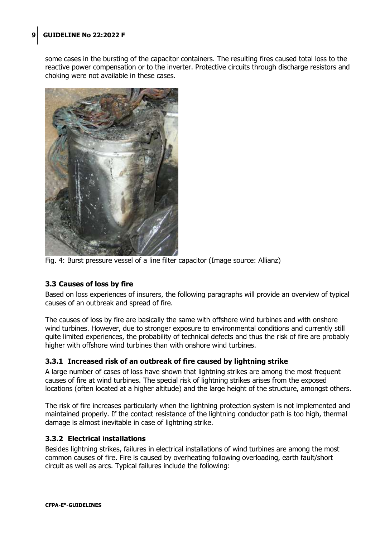some cases in the bursting of the capacitor containers. The resulting fires caused total loss to the reactive power compensation or to the inverter. Protective circuits through discharge resistors and choking were not available in these cases.



Fig. 4: Burst pressure vessel of a line filter capacitor (Image source: Allianz)

## <span id="page-8-0"></span>**3.3 Causes of loss by fire**

Based on loss experiences of insurers, the following paragraphs will provide an overview of typical causes of an outbreak and spread of fire.

The causes of loss by fire are basically the same with offshore wind turbines and with onshore wind turbines. However, due to stronger exposure to environmental conditions and currently still quite limited experiences, the probability of technical defects and thus the risk of fire are probably higher with offshore wind turbines than with onshore wind turbines.

#### <span id="page-8-1"></span>**3.3.1 Increased risk of an outbreak of fire caused by lightning strike**

A large number of cases of loss have shown that lightning strikes are among the most frequent causes of fire at wind turbines. The special risk of lightning strikes arises from the exposed locations (often located at a higher altitude) and the large height of the structure, amongst others.

The risk of fire increases particularly when the lightning protection system is not implemented and maintained properly. If the contact resistance of the lightning conductor path is too high, thermal damage is almost inevitable in case of lightning strike.

#### <span id="page-8-2"></span>**3.3.2 Electrical installations**

Besides lightning strikes, failures in electrical installations of wind turbines are among the most common causes of fire. Fire is caused by overheating following overloading, earth fault/short circuit as well as arcs. Typical failures include the following: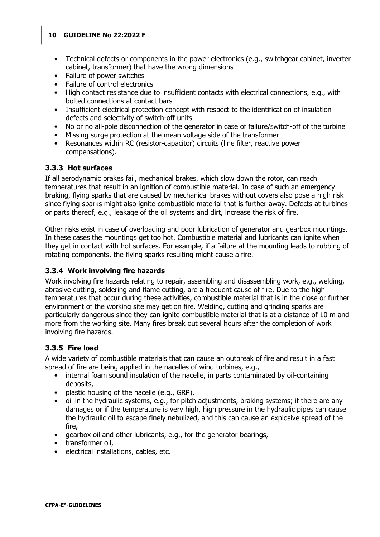- Technical defects or components in the power electronics (e.g., switchgear cabinet, inverter cabinet, transformer) that have the wrong dimensions
- Failure of power switches
- Failure of control electronics
- High contact resistance due to insufficient contacts with electrical connections, e.g., with bolted connections at contact bars
- Insufficient electrical protection concept with respect to the identification of insulation defects and selectivity of switch-off units
- No or no all-pole disconnection of the generator in case of failure/switch-off of the turbine
- Missing surge protection at the mean voltage side of the transformer
- Resonances within RC (resistor-capacitor) circuits (line filter, reactive power compensations).

#### <span id="page-9-0"></span>**3.3.3 Hot surfaces**

If all aerodynamic brakes fail, mechanical brakes, which slow down the rotor, can reach temperatures that result in an ignition of combustible material. In case of such an emergency braking, flying sparks that are caused by mechanical brakes without covers also pose a high risk since flying sparks might also ignite combustible material that is further away. Defects at turbines or parts thereof, e.g., leakage of the oil systems and dirt, increase the risk of fire.

Other risks exist in case of overloading and poor lubrication of generator and gearbox mountings. In these cases the mountings get too hot. Combustible material and lubricants can ignite when they get in contact with hot surfaces. For example, if a failure at the mounting leads to rubbing of rotating components, the flying sparks resulting might cause a fire.

## <span id="page-9-1"></span>**3.3.4 Work involving fire hazards**

Work involving fire hazards relating to repair, assembling and disassembling work, e.g., welding, abrasive cutting, soldering and flame cutting, are a frequent cause of fire. Due to the high temperatures that occur during these activities, combustible material that is in the close or further environment of the working site may get on fire. Welding, cutting and grinding sparks are particularly dangerous since they can ignite combustible material that is at a distance of 10 m and more from the working site. Many fires break out several hours after the completion of work involving fire hazards.

## <span id="page-9-2"></span>**3.3.5 Fire load**

A wide variety of combustible materials that can cause an outbreak of fire and result in a fast spread of fire are being applied in the nacelles of wind turbines, e.g.,

- internal foam sound insulation of the nacelle, in parts contaminated by oil-containing deposits,
- plastic housing of the nacelle (e.g., GRP),
- oil in the hydraulic systems, e.g., for pitch adjustments, braking systems; if there are any damages or if the temperature is very high, high pressure in the hydraulic pipes can cause the hydraulic oil to escape finely nebulized, and this can cause an explosive spread of the fire,
- gearbox oil and other lubricants, e.g., for the generator bearings,
- transformer oil,
- electrical installations, cables, etc.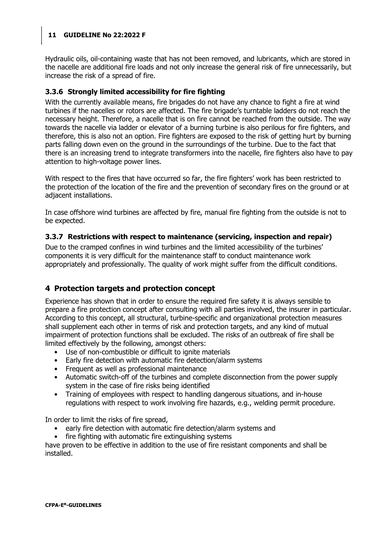Hydraulic oils, oil-containing waste that has not been removed, and lubricants, which are stored in the nacelle are additional fire loads and not only increase the general risk of fire unnecessarily, but increase the risk of a spread of fire.

## <span id="page-10-0"></span>**3.3.6 Strongly limited accessibility for fire fighting**

With the currently available means, fire brigades do not have any chance to fight a fire at wind turbines if the nacelles or rotors are affected. The fire brigade's turntable ladders do not reach the necessary height. Therefore, a nacelle that is on fire cannot be reached from the outside. The way towards the nacelle via ladder or elevator of a burning turbine is also perilous for fire fighters, and therefore, this is also not an option. Fire fighters are exposed to the risk of getting hurt by burning parts falling down even on the ground in the surroundings of the turbine. Due to the fact that there is an increasing trend to integrate transformers into the nacelle, fire fighters also have to pay attention to high-voltage power lines.

With respect to the fires that have occurred so far, the fire fighters' work has been restricted to the protection of the location of the fire and the prevention of secondary fires on the ground or at adjacent installations.

In case offshore wind turbines are affected by fire, manual fire fighting from the outside is not to be expected.

## <span id="page-10-1"></span>**3.3.7 Restrictions with respect to maintenance (servicing, inspection and repair)**

Due to the cramped confines in wind turbines and the limited accessibility of the turbines' components it is very difficult for the maintenance staff to conduct maintenance work appropriately and professionally. The quality of work might suffer from the difficult conditions.

## <span id="page-10-2"></span>**4 Protection targets and protection concept**

Experience has shown that in order to ensure the required fire safety it is always sensible to prepare a fire protection concept after consulting with all parties involved, the insurer in particular. According to this concept, all structural, turbine-specific and organizational protection measures shall supplement each other in terms of risk and protection targets, and any kind of mutual impairment of protection functions shall be excluded. The risks of an outbreak of fire shall be limited effectively by the following, amongst others:

- Use of non-combustible or difficult to ignite materials
- Early fire detection with automatic fire detection/alarm systems
- Frequent as well as professional maintenance
- Automatic switch-off of the turbines and complete disconnection from the power supply system in the case of fire risks being identified
- Training of employees with respect to handling dangerous situations, and in-house regulations with respect to work involving fire hazards, e.g., welding permit procedure.

In order to limit the risks of fire spread,

- early fire detection with automatic fire detection/alarm systems and
- fire fighting with automatic fire extinguishing systems

have proven to be effective in addition to the use of fire resistant components and shall be installed.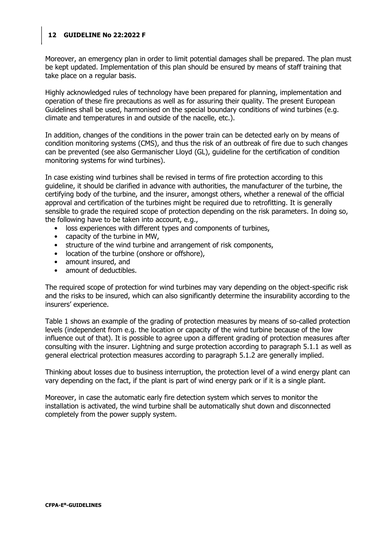Moreover, an emergency plan in order to limit potential damages shall be prepared. The plan must be kept updated. Implementation of this plan should be ensured by means of staff training that take place on a regular basis.

Highly acknowledged rules of technology have been prepared for planning, implementation and operation of these fire precautions as well as for assuring their quality. The present European Guidelines shall be used, harmonised on the special boundary conditions of wind turbines (e.g. climate and temperatures in and outside of the nacelle, etc.).

In addition, changes of the conditions in the power train can be detected early on by means of condition monitoring systems (CMS), and thus the risk of an outbreak of fire due to such changes can be prevented (see also Germanischer Lloyd (GL), guideline for the certification of condition monitoring systems for wind turbines).

In case existing wind turbines shall be revised in terms of fire protection according to this guideline, it should be clarified in advance with authorities, the manufacturer of the turbine, the certifying body of the turbine, and the insurer, amongst others, whether a renewal of the official approval and certification of the turbines might be required due to retrofitting. It is generally sensible to grade the required scope of protection depending on the risk parameters. In doing so, the following have to be taken into account, e.g.,

- loss experiences with different types and components of turbines,
- capacity of the turbine in MW,
- structure of the wind turbine and arrangement of risk components,
- location of the turbine (onshore or offshore),
- amount insured, and
- amount of deductibles.

The required scope of protection for wind turbines may vary depending on the object-specific risk and the risks to be insured, which can also significantly determine the insurability according to the insurers' experience.

Table 1 shows an example of the grading of protection measures by means of so-called protection levels (independent from e.g. the location or capacity of the wind turbine because of the low influence out of that). It is possible to agree upon a different grading of protection measures after consulting with the insurer. Lightning and surge protection according to paragraph 5.1.1 as well as general electrical protection measures according to paragraph 5.1.2 are generally implied.

Thinking about losses due to business interruption, the protection level of a wind energy plant can vary depending on the fact, if the plant is part of wind energy park or if it is a single plant.

Moreover, in case the automatic early fire detection system which serves to monitor the installation is activated, the wind turbine shall be automatically shut down and disconnected completely from the power supply system.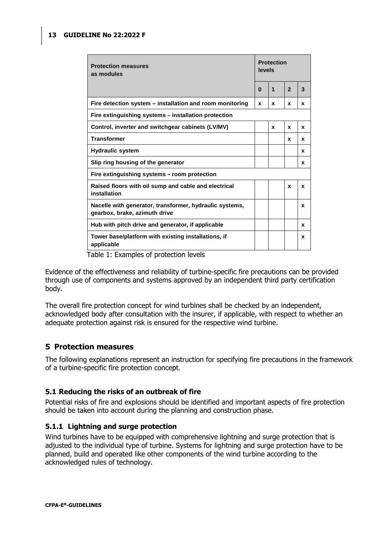| <b>Protection measures</b><br>as modules                                                 | <b>Protection</b><br>levels |              |                         |   |  |
|------------------------------------------------------------------------------------------|-----------------------------|--------------|-------------------------|---|--|
|                                                                                          | $\bf{0}$                    | $\mathbf{1}$ | $\overline{\mathbf{z}}$ | 3 |  |
| Fire detection system - installation and room monitoring                                 | x                           | x            | $\mathbf{x}$            | x |  |
| Fire extinguishing systems - installation protection                                     |                             |              |                         |   |  |
| Control, inverter and switchgear cabinets (LV/MV)                                        |                             | x            | X                       | X |  |
| <b>Transformer</b>                                                                       |                             |              | x                       | x |  |
| <b>Hydraulic system</b>                                                                  |                             |              |                         | x |  |
| Slip ring housing of the generator                                                       |                             |              |                         | x |  |
| Fire extinguishing systems – room protection                                             |                             |              |                         |   |  |
| Raised floors with oil sump and cable and electrical<br>installation                     |                             |              | $\mathbf{x}$            | X |  |
| Nacelle with generator, transformer, hydraulic systems,<br>gearbox, brake, azimuth drive |                             |              |                         | x |  |
| Hub with pitch drive and generator, if applicable                                        |                             |              |                         | X |  |
| Tower base/platform with existing installations, if<br>applicable                        |                             |              |                         | x |  |

Table 1: Examples of protection levels

Evidence of the effectiveness and reliability of turbine-specific fire precautions can be provided through use of components and systems approved by an independent third party certification body.

The overall fire protection concept for wind turbines shall be checked by an independent, acknowledged body after consultation with the insurer, if applicable, with respect to whether an adequate protection against risk is ensured for the respective wind turbine.

## <span id="page-12-0"></span>**5 Protection measures**

The following explanations represent an instruction for specifying fire precautions in the framework of a turbine-specific fire protection concept.

## <span id="page-12-1"></span>**5.1 Reducing the risks of an outbreak of fire**

Potential risks of fire and explosions should be identified and important aspects of fire protection should be taken into account during the planning and construction phase.

#### <span id="page-12-2"></span>**5.1.1 Lightning and surge protection**

Wind turbines have to be equipped with comprehensive lightning and surge protection that is adjusted to the individual type of turbine. Systems for lightning and surge protection have to be planned, build and operated like other components of the wind turbine according to the acknowledged rules of technology.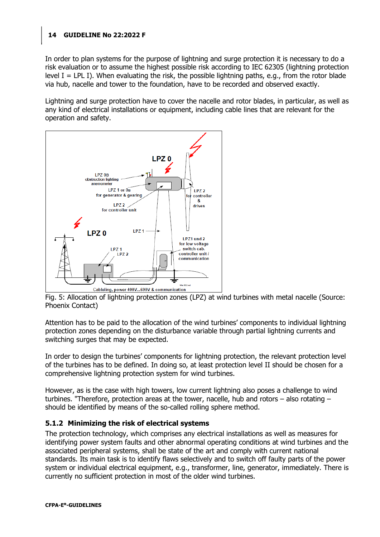In order to plan systems for the purpose of lightning and surge protection it is necessary to do a risk evaluation or to assume the highest possible risk according to IEC 62305 (lightning protection level I = LPL I). When evaluating the risk, the possible lightning paths, e.g., from the rotor blade via hub, nacelle and tower to the foundation, have to be recorded and observed exactly.

Lightning and surge protection have to cover the nacelle and rotor blades, in particular, as well as any kind of electrical installations or equipment, including cable lines that are relevant for the operation and safety.



Fig. 5: Allocation of lightning protection zones (LPZ) at wind turbines with metal nacelle (Source: Phoenix Contact)

Attention has to be paid to the allocation of the wind turbines' components to individual lightning protection zones depending on the disturbance variable through partial lightning currents and switching surges that may be expected.

In order to design the turbines' components for lightning protection, the relevant protection level of the turbines has to be defined. In doing so, at least protection level II should be chosen for a comprehensive lightning protection system for wind turbines.

However, as is the case with high towers, low current lightning also poses a challenge to wind turbines. "Therefore, protection areas at the tower, nacelle, hub and rotors – also rotating – should be identified by means of the so-called rolling sphere method.

## <span id="page-13-0"></span>**5.1.2 Minimizing the risk of electrical systems**

The protection technology, which comprises any electrical installations as well as measures for identifying power system faults and other abnormal operating conditions at wind turbines and the associated peripheral systems, shall be state of the art and comply with current national standards. Its main task is to identify flaws selectively and to switch off faulty parts of the power system or individual electrical equipment, e.g., transformer, line, generator, immediately. There is currently no sufficient protection in most of the older wind turbines.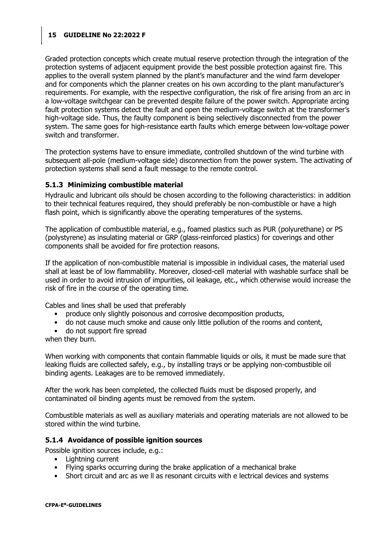Graded protection concepts which create mutual reserve protection through the integration of the protection systems of adjacent equipment provide the best possible protection against fire. This applies to the overall system planned by the plant's manufacturer and the wind farm developer and for components which the planner creates on his own according to the plant manufacturer's requirements. For example, with the respective configuration, the risk of fire arising from an arc in a low-voltage switchgear can be prevented despite failure of the power switch. Appropriate arcing fault protection systems detect the fault and open the medium-voltage switch at the transformer's high-voltage side. Thus, the faulty component is being selectively disconnected from the power system. The same goes for high-resistance earth faults which emerge between low-voltage power switch and transformer.

The protection systems have to ensure immediate, controlled shutdown of the wind turbine with subsequent all-pole (medium-voltage side) disconnection from the power system. The activating of protection systems shall send a fault message to the remote control.

#### <span id="page-14-0"></span>**5.1.3 Minimizing combustible material**

Hydraulic and lubricant oils should be chosen according to the following characteristics: in addition to their technical features required, they should preferably be non-combustible or have a high flash point, which is significantly above the operating temperatures of the systems.

The application of combustible material, e.g., foamed plastics such as PUR (polyurethane) or PS (polystyrene) as insulating material or GRP (glass-reinforced plastics) for coverings and other components shall be avoided for fire protection reasons.

If the application of non-combustible material is impossible in individual cases, the material used shall at least be of low flammability. Moreover, closed-cell material with washable surface shall be used in order to avoid intrusion of impurities, oil leakage, etc., which otherwise would increase the risk of fire in the course of the operating time.

Cables and lines shall be used that preferably

- produce only slightly poisonous and corrosive decomposition products,
- do not cause much smoke and cause only little pollution of the rooms and content,
- do not support fire spread

when they burn.

When working with components that contain flammable liquids or oils, it must be made sure that leaking fluids are collected safely, e.g., by installing trays or be applying non-combustible oil binding agents. Leakages are to be removed immediately.

After the work has been completed, the collected fluids must be disposed properly, and contaminated oil binding agents must be removed from the system.

Combustible materials as well as auxiliary materials and operating materials are not allowed to be stored within the wind turbine.

#### <span id="page-14-1"></span>**5.1.4 Avoidance of possible ignition sources**

Possible ignition sources include, e.g.:

- Lightning current
- Flying sparks occurring during the brake application of a mechanical brake
- Short circuit and arc as we ll as resonant circuits with e lectrical devices and systems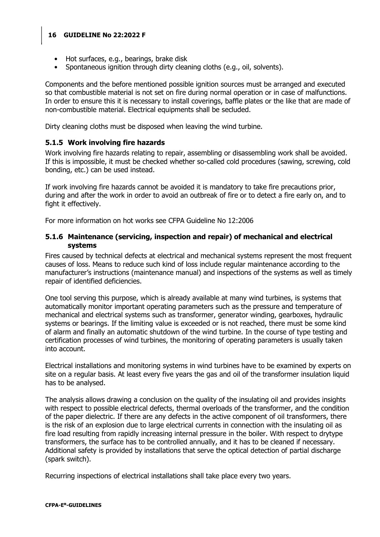- Hot surfaces, e.g., bearings, brake disk
- Spontaneous ignition through dirty cleaning cloths (e.g., oil, solvents).

Components and the before mentioned possible ignition sources must be arranged and executed so that combustible material is not set on fire during normal operation or in case of malfunctions. In order to ensure this it is necessary to install coverings, baffle plates or the like that are made of non-combustible material. Electrical equipments shall be secluded.

<span id="page-15-0"></span>Dirty cleaning cloths must be disposed when leaving the wind turbine.

## **5.1.5 Work involving fire hazards**

Work involving fire hazards relating to repair, assembling or disassembling work shall be avoided. If this is impossible, it must be checked whether so-called cold procedures (sawing, screwing, cold bonding, etc.) can be used instead.

If work involving fire hazards cannot be avoided it is mandatory to take fire precautions prior, during and after the work in order to avoid an outbreak of fire or to detect a fire early on, and to fight it effectively.

For more information on hot works see CFPA Guideline No 12:2006

#### <span id="page-15-1"></span>**5.1.6 Maintenance (servicing, inspection and repair) of mechanical and electrical systems**

Fires caused by technical defects at electrical and mechanical systems represent the most frequent causes of loss. Means to reduce such kind of loss include regular maintenance according to the manufacturer's instructions (maintenance manual) and inspections of the systems as well as timely repair of identified deficiencies.

One tool serving this purpose, which is already available at many wind turbines, is systems that automatically monitor important operating parameters such as the pressure and temperature of mechanical and electrical systems such as transformer, generator winding, gearboxes, hydraulic systems or bearings. If the limiting value is exceeded or is not reached, there must be some kind of alarm and finally an automatic shutdown of the wind turbine. In the course of type testing and certification processes of wind turbines, the monitoring of operating parameters is usually taken into account.

Electrical installations and monitoring systems in wind turbines have to be examined by experts on site on a regular basis. At least every five years the gas and oil of the transformer insulation liquid has to be analysed.

The analysis allows drawing a conclusion on the quality of the insulating oil and provides insights with respect to possible electrical defects, thermal overloads of the transformer, and the condition of the paper dielectric. If there are any defects in the active component of oil transformers, there is the risk of an explosion due to large electrical currents in connection with the insulating oil as fire load resulting from rapidly increasing internal pressure in the boiler. With respect to drytype transformers, the surface has to be controlled annually, and it has to be cleaned if necessary. Additional safety is provided by installations that serve the optical detection of partial discharge (spark switch).

Recurring inspections of electrical installations shall take place every two years.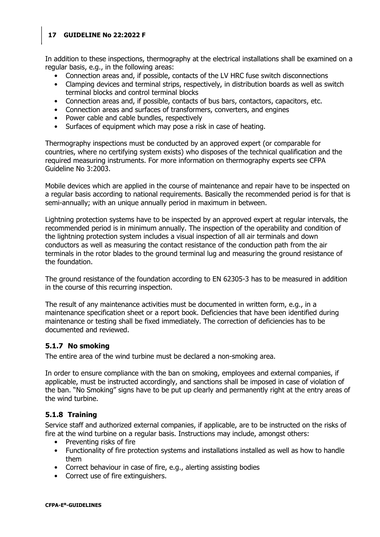In addition to these inspections, thermography at the electrical installations shall be examined on a regular basis, e.g., in the following areas:

- Connection areas and, if possible, contacts of the LV HRC fuse switch disconnections
- Clamping devices and terminal strips, respectively, in distribution boards as well as switch terminal blocks and control terminal blocks
- Connection areas and, if possible, contacts of bus bars, contactors, capacitors, etc.
- Connection areas and surfaces of transformers, converters, and engines
- Power cable and cable bundles, respectively
- Surfaces of equipment which may pose a risk in case of heating.

Thermography inspections must be conducted by an approved expert (or comparable for countries, where no certifying system exists) who disposes of the technical qualification and the required measuring instruments. For more information on thermography experts see CFPA Guideline No 3:2003.

Mobile devices which are applied in the course of maintenance and repair have to be inspected on a regular basis according to national requirements. Basically the recommended period is for that is semi-annually; with an unique annually period in maximum in between.

Lightning protection systems have to be inspected by an approved expert at regular intervals, the recommended period is in minimum annually. The inspection of the operability and condition of the lightning protection system includes a visual inspection of all air terminals and down conductors as well as measuring the contact resistance of the conduction path from the air terminals in the rotor blades to the ground terminal lug and measuring the ground resistance of the foundation.

The ground resistance of the foundation according to EN 62305-3 has to be measured in addition in the course of this recurring inspection.

The result of any maintenance activities must be documented in written form, e.g., in a maintenance specification sheet or a report book. Deficiencies that have been identified during maintenance or testing shall be fixed immediately. The correction of deficiencies has to be documented and reviewed.

## <span id="page-16-0"></span>**5.1.7 No smoking**

The entire area of the wind turbine must be declared a non-smoking area.

In order to ensure compliance with the ban on smoking, employees and external companies, if applicable, must be instructed accordingly, and sanctions shall be imposed in case of violation of the ban. "No Smoking" signs have to be put up clearly and permanently right at the entry areas of the wind turbine.

## <span id="page-16-1"></span>**5.1.8 Training**

Service staff and authorized external companies, if applicable, are to be instructed on the risks of fire at the wind turbine on a regular basis. Instructions may include, amongst others:

- Preventing risks of fire
- Functionality of fire protection systems and installations installed as well as how to handle them
- Correct behaviour in case of fire, e.g., alerting assisting bodies
- Correct use of fire extinguishers.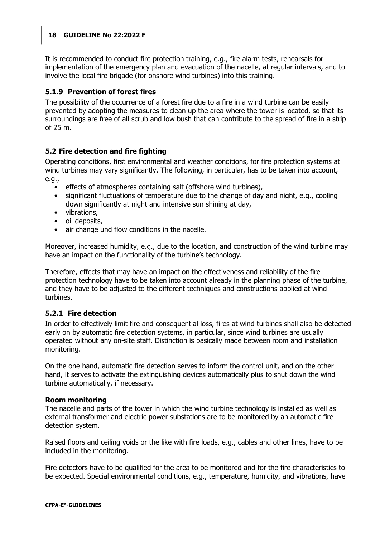It is recommended to conduct fire protection training, e.g., fire alarm tests, rehearsals for implementation of the emergency plan and evacuation of the nacelle, at regular intervals, and to involve the local fire brigade (for onshore wind turbines) into this training.

## <span id="page-17-0"></span>**5.1.9 Prevention of forest fires**

The possibility of the occurrence of a forest fire due to a fire in a wind turbine can be easily prevented by adopting the measures to clean up the area where the tower is located, so that its surroundings are free of all scrub and low bush that can contribute to the spread of fire in a strip of 25 m.

## <span id="page-17-1"></span>**5.2 Fire detection and fire fighting**

Operating conditions, first environmental and weather conditions, for fire protection systems at wind turbines may vary significantly. The following, in particular, has to be taken into account, e.g.,

- effects of atmospheres containing salt (offshore wind turbines),
- significant fluctuations of temperature due to the change of day and night, e.g., cooling down significantly at night and intensive sun shining at day,
- vibrations,
- oil deposits,
- air change und flow conditions in the nacelle.

Moreover, increased humidity, e.g., due to the location, and construction of the wind turbine may have an impact on the functionality of the turbine's technology.

Therefore, effects that may have an impact on the effectiveness and reliability of the fire protection technology have to be taken into account already in the planning phase of the turbine, and they have to be adjusted to the different techniques and constructions applied at wind turbines.

#### <span id="page-17-2"></span>**5.2.1 Fire detection**

In order to effectively limit fire and consequential loss, fires at wind turbines shall also be detected early on by automatic fire detection systems, in particular, since wind turbines are usually operated without any on-site staff. Distinction is basically made between room and installation monitoring.

On the one hand, automatic fire detection serves to inform the control unit, and on the other hand, it serves to activate the extinguishing devices automatically plus to shut down the wind turbine automatically, if necessary.

#### **Room monitoring**

The nacelle and parts of the tower in which the wind turbine technology is installed as well as external transformer and electric power substations are to be monitored by an automatic fire detection system.

Raised floors and ceiling voids or the like with fire loads, e.g., cables and other lines, have to be included in the monitoring.

Fire detectors have to be qualified for the area to be monitored and for the fire characteristics to be expected. Special environmental conditions, e.g., temperature, humidity, and vibrations, have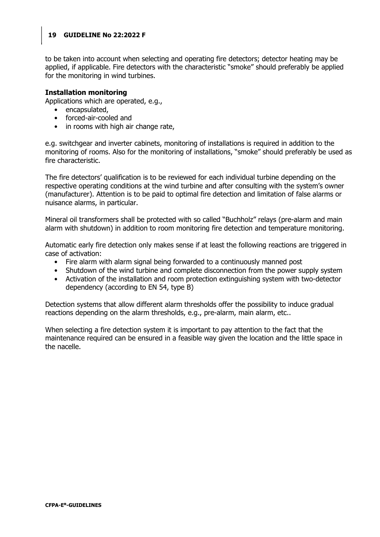to be taken into account when selecting and operating fire detectors; detector heating may be applied, if applicable. Fire detectors with the characteristic "smoke" should preferably be applied for the monitoring in wind turbines.

#### **Installation monitoring**

Applications which are operated, e.g.,

- encapsulated,
- forced-air-cooled and
- in rooms with high air change rate,

e.g. switchgear and inverter cabinets, monitoring of installations is required in addition to the monitoring of rooms. Also for the monitoring of installations, "smoke" should preferably be used as fire characteristic.

The fire detectors' qualification is to be reviewed for each individual turbine depending on the respective operating conditions at the wind turbine and after consulting with the system's owner (manufacturer). Attention is to be paid to optimal fire detection and limitation of false alarms or nuisance alarms, in particular.

Mineral oil transformers shall be protected with so called "Buchholz" relays (pre-alarm and main alarm with shutdown) in addition to room monitoring fire detection and temperature monitoring.

Automatic early fire detection only makes sense if at least the following reactions are triggered in case of activation:

- Fire alarm with alarm signal being forwarded to a continuously manned post
- Shutdown of the wind turbine and complete disconnection from the power supply system
- Activation of the installation and room protection extinguishing system with two-detector dependency (according to EN 54, type B)

Detection systems that allow different alarm thresholds offer the possibility to induce gradual reactions depending on the alarm thresholds, e.g., pre-alarm, main alarm, etc..

When selecting a fire detection system it is important to pay attention to the fact that the maintenance required can be ensured in a feasible way given the location and the little space in the nacelle.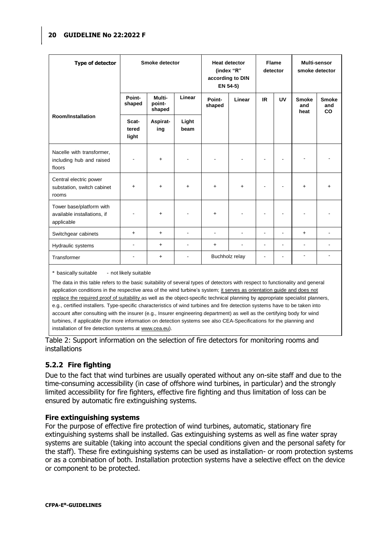| <b>Type of detector</b>                                               | Smoke detector          |                            |               | <b>Heat detector</b><br>(index "R"<br>according to DIN<br>EN 54-5) |           | <b>Flame</b><br>detector |    | Multi-sensor<br>smoke detector |                                  |
|-----------------------------------------------------------------------|-------------------------|----------------------------|---------------|--------------------------------------------------------------------|-----------|--------------------------|----|--------------------------------|----------------------------------|
|                                                                       | Point-<br>shaped        | Multi-<br>point-<br>shaped | Linear        | Point-<br>shaped                                                   | Linear    | IR.                      | UV | <b>Smoke</b><br>and<br>heat    | <b>Smoke</b><br>and<br><b>CO</b> |
| <b>Room/Installation</b>                                              | Scat-<br>tered<br>light | Aspirat-<br>ing            | Light<br>beam |                                                                    |           |                          |    |                                |                                  |
| Nacelle with transformer,<br>including hub and raised<br>floors       | ä,                      | $\ddot{}$                  |               |                                                                    |           |                          |    |                                |                                  |
| Central electric power<br>substation, switch cabinet<br>rooms         | $\ddot{}$               | $\ddot{}$                  | $\ddot{}$     | $\ddot{}$                                                          | $\ddot{}$ | $\blacksquare$           |    | $\ddot{}$                      | $+$                              |
| Tower base/platform with<br>available installations, if<br>applicable |                         | $\ddot{}$                  |               | $+$                                                                |           |                          |    |                                |                                  |
| Switchgear cabinets                                                   | $+$                     | $\ddot{}$                  |               |                                                                    |           | $\blacksquare$           |    | $+$                            |                                  |
| Hydraulic systems                                                     | ۰                       | $\ddot{}$                  |               | $\ddot{}$                                                          |           | $\blacksquare$           | Ĭ. | $\blacksquare$                 |                                  |
| Transformer                                                           |                         | +                          |               | Buchholz relay                                                     |           |                          | ٠  |                                |                                  |

\* basically suitable - not likely suitable

The data in this table refers to the basic suitability of several types of detectors with respect to functionality and general application conditions in the respective area of the wind turbine's system; it serves as orientation guide and does not replace the required proof of suitability as well as the object-specific technical planning by appropriate specialist planners, e.g., certified installers. Type-specific characteristics of wind turbines and fire detection systems have to be taken into account after consulting with the insurer (e.g., Insurer engineering department) as well as the certifying body for wind turbines, if applicable (for more information on detection systems see also CEA-Specifications for the planning and installation of fire detection systems at www.cea.eu).

Table 2: Support information on the selection of fire detectors for monitoring rooms and installations

## <span id="page-19-0"></span>**5.2.2 Fire fighting**

Due to the fact that wind turbines are usually operated without any on-site staff and due to the time-consuming accessibility (in case of offshore wind turbines, in particular) and the strongly limited accessibility for fire fighters, effective fire fighting and thus limitation of loss can be ensured by automatic fire extinguishing systems.

#### **Fire extinguishing systems**

For the purpose of effective fire protection of wind turbines, automatic, stationary fire extinguishing systems shall be installed. Gas extinguishing systems as well as fine water spray systems are suitable (taking into account the special conditions given and the personal safety for the staff). These fire extinguishing systems can be used as installation- or room protection systems or as a combination of both. Installation protection systems have a selective effect on the device or component to be protected.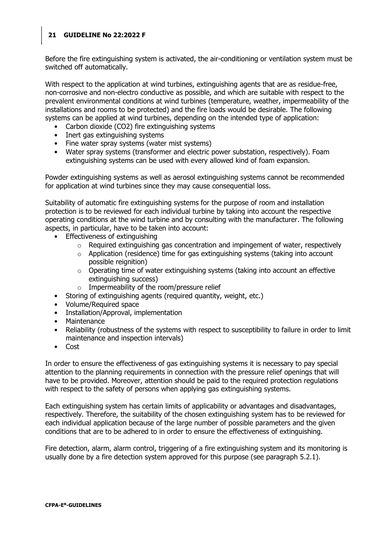Before the fire extinguishing system is activated, the air-conditioning or ventilation system must be switched off automatically.

With respect to the application at wind turbines, extinguishing agents that are as residue-free, non-corrosive and non-electro conductive as possible, and which are suitable with respect to the prevalent environmental conditions at wind turbines (temperature, weather, impermeability of the installations and rooms to be protected) and the fire loads would be desirable. The following systems can be applied at wind turbines, depending on the intended type of application:

- Carbon dioxide (CO2) fire extinguishing systems
- Inert gas extinguishing systems
- Fine water spray systems (water mist systems)
- Water spray systems (transformer and electric power substation, respectively). Foam extinguishing systems can be used with every allowed kind of foam expansion.

Powder extinguishing systems as well as aerosol extinguishing systems cannot be recommended for application at wind turbines since they may cause consequential loss.

Suitability of automatic fire extinguishing systems for the purpose of room and installation protection is to be reviewed for each individual turbine by taking into account the respective operating conditions at the wind turbine and by consulting with the manufacturer. The following aspects, in particular, have to be taken into account:

- Effectiveness of extinguishing
	- $\circ$  Required extinguishing gas concentration and impingement of water, respectively
	- o Application (residence) time for gas extinguishing systems (taking into account possible reignition)
	- o Operating time of water extinguishing systems (taking into account an effective extinguishing success)
	- o Impermeability of the room/pressure relief
- Storing of extinguishing agents (required quantity, weight, etc.)
- Volume/Required space
- Installation/Approval, implementation
- **Maintenance**
- Reliability (robustness of the systems with respect to susceptibility to failure in order to limit maintenance and inspection intervals)
- Cost

In order to ensure the effectiveness of gas extinguishing systems it is necessary to pay special attention to the planning requirements in connection with the pressure relief openings that will have to be provided. Moreover, attention should be paid to the required protection regulations with respect to the safety of persons when applying gas extinguishing systems.

Each extinguishing system has certain limits of applicability or advantages and disadvantages, respectively. Therefore, the suitability of the chosen extinguishing system has to be reviewed for each individual application because of the large number of possible parameters and the given conditions that are to be adhered to in order to ensure the effectiveness of extinguishing.

Fire detection, alarm, alarm control, triggering of a fire extinguishing system and its monitoring is usually done by a fire detection system approved for this purpose (see paragraph 5.2.1).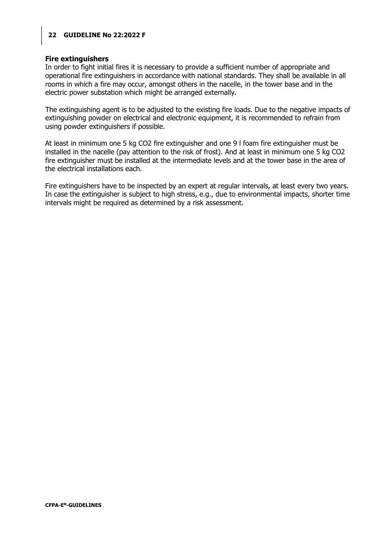#### **Fire extinguishers**

In order to fight initial fires it is necessary to provide a sufficient number of appropriate and operational fire extinguishers in accordance with national standards. They shall be available in all rooms in which a fire may occur, amongst others in the nacelle, in the tower base and in the electric power substation which might be arranged externally.

The extinguishing agent is to be adjusted to the existing fire loads. Due to the negative impacts of extinguishing powder on electrical and electronic equipment, it is recommended to refrain from using powder extinguishers if possible.

At least in minimum one 5 kg CO2 fire extinguisher and one 9 l foam fire extinguisher must be installed in the nacelle (pay attention to the risk of frost). And at least in minimum one 5 kg CO2 fire extinguisher must be installed at the intermediate levels and at the tower base in the area of the electrical installations each.

Fire extinguishers have to be inspected by an expert at regular intervals, at least every two years. In case the extinguisher is subject to high stress, e.g., due to environmental impacts, shorter time intervals might be required as determined by a risk assessment.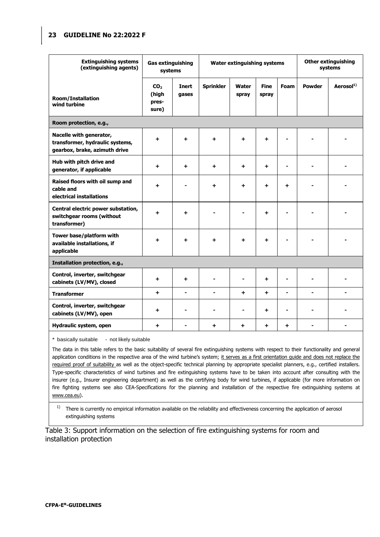| <b>Extinguishing systems</b><br><b>Gas extinguishing</b><br>(extinguishing agents)<br>systems |                                            | Water extinguishing systems |                  |                       |                      | <b>Other extinguishing</b><br>systems |               |                       |
|-----------------------------------------------------------------------------------------------|--------------------------------------------|-----------------------------|------------------|-----------------------|----------------------|---------------------------------------|---------------|-----------------------|
| <b>Room/Installation</b><br>wind turbine                                                      | CO <sub>2</sub><br>(high<br>pres-<br>sure) | Inert<br>gases              | <b>Sprinkler</b> | <b>Water</b><br>spray | <b>Fine</b><br>spray | <b>Foam</b>                           | <b>Powder</b> | Aerosol <sup>1)</sup> |
| Room protection, e.g.,                                                                        |                                            |                             |                  |                       |                      |                                       |               |                       |
| Nacelle with generator,<br>transformer, hydraulic systems,<br>gearbox, brake, azimuth drive   | $\ddot{}$                                  | $\ddot{}$                   | $\ddot{}$        | ÷.                    | $\ddot{}$            |                                       |               |                       |
| Hub with pitch drive and<br>generator, if applicable                                          | ٠                                          | +                           | +                | +                     | ÷.                   |                                       |               |                       |
| Raised floors with oil sump and<br>cable and<br>electrical installations                      | ٠                                          |                             | +                | +                     | ÷.                   | +                                     |               |                       |
| Central electric power substation,<br>switchgear rooms (without<br>transformer)               | +                                          | $\ddot{}$                   |                  |                       | $\ddot{}$            |                                       |               |                       |
| Tower base/platform with<br>available installations, if<br>applicable                         | +                                          | $\ddot{}$                   | $\ddot{}$        | ٠                     | $\ddot{}$            |                                       |               |                       |
| Installation protection, e.g.,                                                                |                                            |                             |                  |                       |                      |                                       |               |                       |
| Control, inverter, switchgear<br>cabinets (LV/MV), closed                                     | ÷                                          | +                           |                  |                       | ÷.                   | $\blacksquare$                        |               |                       |
| <b>Transformer</b>                                                                            | +                                          | ٠                           |                  | $\ddot{}$             | $\ddot{}$            | ٠                                     |               | $\blacksquare$        |
| Control, inverter, switchgear<br>cabinets (LV/MV), open                                       | ÷.                                         |                             |                  |                       | $\ddot{}$            | $\blacksquare$                        |               |                       |
| Hydraulic system, open                                                                        | $\ddot{}$                                  |                             | $\ddot{}$        | $\ddot{}$             | $\ddot{}$            | ÷                                     |               |                       |

\* basically suitable - not likely suitable

The data in this table refers to the basic suitability of several fire extinguishing systems with respect to their functionality and general application conditions in the respective area of the wind turbine's system; it serves as a first orientation guide and does not replace the required proof of suitability as well as the object-specific technical planning by appropriate specialist planners, e.g., certified installers. Type-specific characteristics of wind turbines and fire extinguishing systems have to be taken into account after consulting with the insurer (e.g., Insurer engineering department) as well as the certifying body for wind turbines, if applicable (for more information on fire fighting systems see also CEA-Specifications for the planning and installation of the respective fire extinguishing systems at www.cea.eu).

 $1)$  There is currently no empirical information available on the reliability and effectiveness concerning the application of aerosol extinguishing systems

Table 3: Support information on the selection of fire extinguishing systems for room and installation protection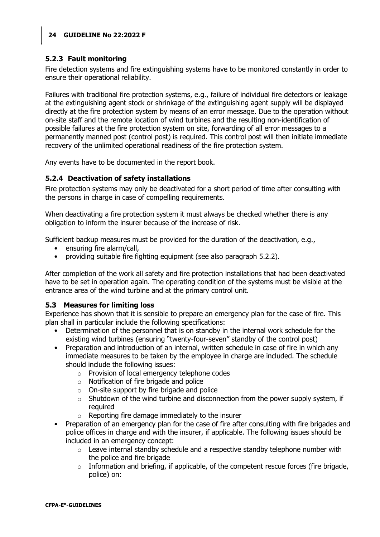## <span id="page-23-0"></span>**5.2.3 Fault monitoring**

Fire detection systems and fire extinguishing systems have to be monitored constantly in order to ensure their operational reliability.

Failures with traditional fire protection systems, e.g., failure of individual fire detectors or leakage at the extinguishing agent stock or shrinkage of the extinguishing agent supply will be displayed directly at the fire protection system by means of an error message. Due to the operation without on-site staff and the remote location of wind turbines and the resulting non-identification of possible failures at the fire protection system on site, forwarding of all error messages to a permanently manned post (control post) is required. This control post will then initiate immediate recovery of the unlimited operational readiness of the fire protection system.

Any events have to be documented in the report book.

## <span id="page-23-1"></span>**5.2.4 Deactivation of safety installations**

Fire protection systems may only be deactivated for a short period of time after consulting with the persons in charge in case of compelling requirements.

When deactivating a fire protection system it must always be checked whether there is any obligation to inform the insurer because of the increase of risk.

Sufficient backup measures must be provided for the duration of the deactivation, e.g.,

- ensuring fire alarm/call,
- providing suitable fire fighting equipment (see also paragraph 5.2.2).

After completion of the work all safety and fire protection installations that had been deactivated have to be set in operation again. The operating condition of the systems must be visible at the entrance area of the wind turbine and at the primary control unit.

## <span id="page-23-2"></span>**5.3 Measures for limiting loss**

Experience has shown that it is sensible to prepare an emergency plan for the case of fire. This plan shall in particular include the following specifications:

- Determination of the personnel that is on standby in the internal work schedule for the existing wind turbines (ensuring "twenty-four-seven" standby of the control post)
- Preparation and introduction of an internal, written schedule in case of fire in which any immediate measures to be taken by the employee in charge are included. The schedule should include the following issues:
	- o Provision of local emergency telephone codes
	- o Notification of fire brigade and police
	- $\circ$  On-site support by fire brigade and police
	- $\circ$  Shutdown of the wind turbine and disconnection from the power supply system, if required
	- o Reporting fire damage immediately to the insurer
- Preparation of an emergency plan for the case of fire after consulting with fire brigades and police offices in charge and with the insurer, if applicable. The following issues should be included in an emergency concept:
	- $\circ$  Leave internal standby schedule and a respective standby telephone number with the police and fire brigade
	- $\circ$  Information and briefing, if applicable, of the competent rescue forces (fire brigade, police) on: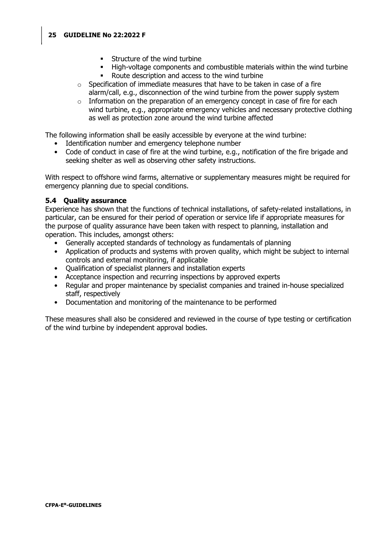- **Structure of the wind turbine**
- High-voltage components and combustible materials within the wind turbine
- Route description and access to the wind turbine
- $\circ$  Specification of immediate measures that have to be taken in case of a fire alarm/call, e.g., disconnection of the wind turbine from the power supply system
- o Information on the preparation of an emergency concept in case of fire for each wind turbine, e.g., appropriate emergency vehicles and necessary protective clothing as well as protection zone around the wind turbine affected

The following information shall be easily accessible by everyone at the wind turbine:

- Identification number and emergency telephone number
- Code of conduct in case of fire at the wind turbine, e.g., notification of the fire brigade and seeking shelter as well as observing other safety instructions.

With respect to offshore wind farms, alternative or supplementary measures might be required for emergency planning due to special conditions.

#### <span id="page-24-0"></span>**5.4 Quality assurance**

Experience has shown that the functions of technical installations, of safety-related installations, in particular, can be ensured for their period of operation or service life if appropriate measures for the purpose of quality assurance have been taken with respect to planning, installation and operation. This includes, amongst others:

- Generally accepted standards of technology as fundamentals of planning
- Application of products and systems with proven quality, which might be subject to internal controls and external monitoring, if applicable
- Qualification of specialist planners and installation experts
- Acceptance inspection and recurring inspections by approved experts
- Regular and proper maintenance by specialist companies and trained in-house specialized staff, respectively
- Documentation and monitoring of the maintenance to be performed

These measures shall also be considered and reviewed in the course of type testing or certification of the wind turbine by independent approval bodies.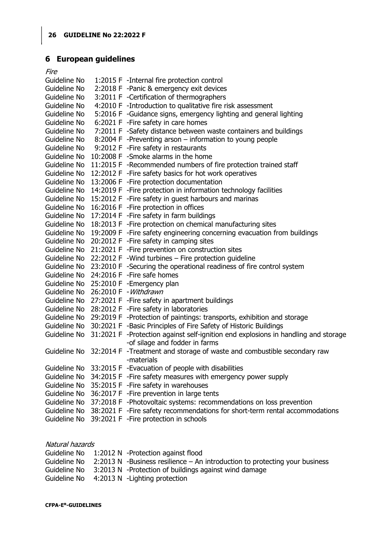# <span id="page-25-0"></span>**6 European guidelines**

| <i>Fire</i>  |                                                                                      |
|--------------|--------------------------------------------------------------------------------------|
| Guideline No | 1:2015 F -Internal fire protection control                                           |
| Guideline No | 2:2018 F -Panic & emergency exit devices                                             |
| Guideline No | 3:2011 F -Certification of thermographers                                            |
| Guideline No | 4:2010 F -Introduction to qualitative fire risk assessment                           |
| Guideline No | 5:2016 F -Guidance signs, emergency lighting and general lighting                    |
| Guideline No | 6:2021 F - Fire safety in care homes                                                 |
| Guideline No | 7:2011 F -Safety distance between waste containers and buildings                     |
| Guideline No | 8:2004 F -Preventing arson – information to young people                             |
| Guideline No | 9:2012 F - Fire safety in restaurants                                                |
| Guideline No | 10:2008 F -Smoke alarms in the home                                                  |
| Guideline No | 11:2015 F -Recommended numbers of fire protection trained staff                      |
| Guideline No | 12:2012 F - Fire safety basics for hot work operatives                               |
| Guideline No | 13:2006 F - Fire protection documentation                                            |
| Guideline No | 14:2019 F - Fire protection in information technology facilities                     |
| Guideline No | 15:2012 F - Fire safety in guest harbours and marinas                                |
| Guideline No | 16:2016 F - Fire protection in offices                                               |
| Guideline No | 17:2014 F - Fire safety in farm buildings                                            |
| Guideline No | 18:2013 F - Fire protection on chemical manufacturing sites                          |
| Guideline No | 19:2009 F - Fire safety engineering concerning evacuation from buildings             |
| Guideline No | 20:2012 F - Fire safety in camping sites                                             |
| Guideline No | 21:2021 F - Fire prevention on construction sites                                    |
| Guideline No | 22:2012 F - Wind turbines - Fire protection guideline                                |
| Guideline No | 23:2010 F -Securing the operational readiness of fire control system                 |
|              | Guideline No 24:2016 F - Fire safe homes                                             |
| Guideline No | 25:2010 F - Emergency plan                                                           |
| Guideline No | 26:2010 F - Withdrawn                                                                |
| Guideline No | 27:2021 F - Fire safety in apartment buildings                                       |
| Guideline No | 28:2012 F - Fire safety in laboratories                                              |
| Guideline No | 29:2019 F -Protection of paintings: transports, exhibition and storage               |
| Guideline No | 30:2021 F -Basic Principles of Fire Safety of Historic Buildings                     |
| Guideline No | 31:2021 F -Protection against self-ignition end explosions in handling and storage   |
|              | -of silage and fodder in farms                                                       |
|              | Guideline No 32:2014 F -Treatment and storage of waste and combustible secondary raw |
|              | -materials                                                                           |
| Guideline No | 33:2015 F - Evacuation of people with disabilities                                   |
| Guideline No | 34:2015 F - Fire safety measures with emergency power supply                         |
| Guideline No | 35:2015 F - Fire safety in warehouses                                                |
| Guideline No | 36:2017 F - Fire prevention in large tents                                           |
| Guideline No | 37:2018 F -Photovoltaic systems: recommendations on loss prevention                  |
| Guideline No | 38:2021 F - Fire safety recommendations for short-term rental accommodations         |
| Guideline No | 39:2021 F - Fire protection in schools                                               |
|              |                                                                                      |

| Natural hazards |  |                                                                                 |  |  |  |  |  |
|-----------------|--|---------------------------------------------------------------------------------|--|--|--|--|--|
|                 |  | Guideline No 1:2012 N -Protection against flood                                 |  |  |  |  |  |
| Guideline No    |  | $2:2013$ N -Business resilience $-$ An introduction to protecting your business |  |  |  |  |  |
| Guideline No    |  | 3:2013 N -Protection of buildings against wind damage                           |  |  |  |  |  |
|                 |  | Guideline No $-4:2013 \text{ N}$ -Lighting protection                           |  |  |  |  |  |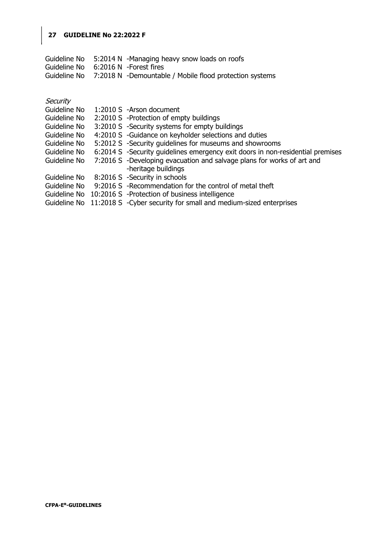|                                      | Guideline No 5:2014 N -Managing heavy snow loads on roofs            |
|--------------------------------------|----------------------------------------------------------------------|
| Guideline No 6:2016 N - Forest fires |                                                                      |
|                                      | Guideline No 7:2018 N -Demountable / Mobile flood protection systems |

| Security     |                                                                                |
|--------------|--------------------------------------------------------------------------------|
| Guideline No | 1:2010 S -Arson document                                                       |
| Guideline No | 2:2010 S - Protection of empty buildings                                       |
| Guideline No | 3:2010 S -Security systems for empty buildings                                 |
| Guideline No | 4:2010 S -Guidance on keyholder selections and duties                          |
| Guideline No | 5:2012 S -Security quidelines for museums and showrooms                        |
| Guideline No | 6:2014 S -Security guidelines emergency exit doors in non-residential premises |
| Guideline No | 7:2016 S -Developing evacuation and salvage plans for works of art and         |
|              | -heritage buildings                                                            |
| Guideline No | 8:2016 S -Security in schools                                                  |
| Guideline No | 9:2016 S -Recommendation for the control of metal theft                        |
|              | Guideline No 10:2016 S -Protection of business intelligence                    |
| Guideline No | 11:2018 S - Cyber security for small and medium-sized enterprises              |
|              |                                                                                |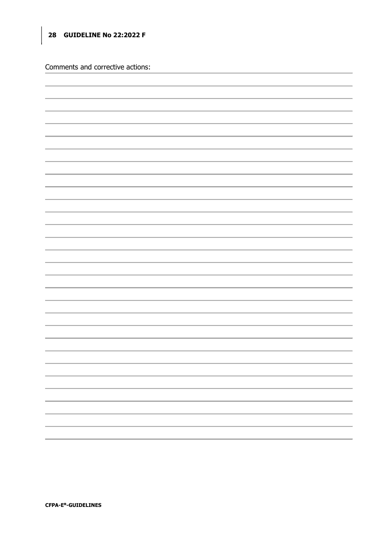Comments and corrective actions: